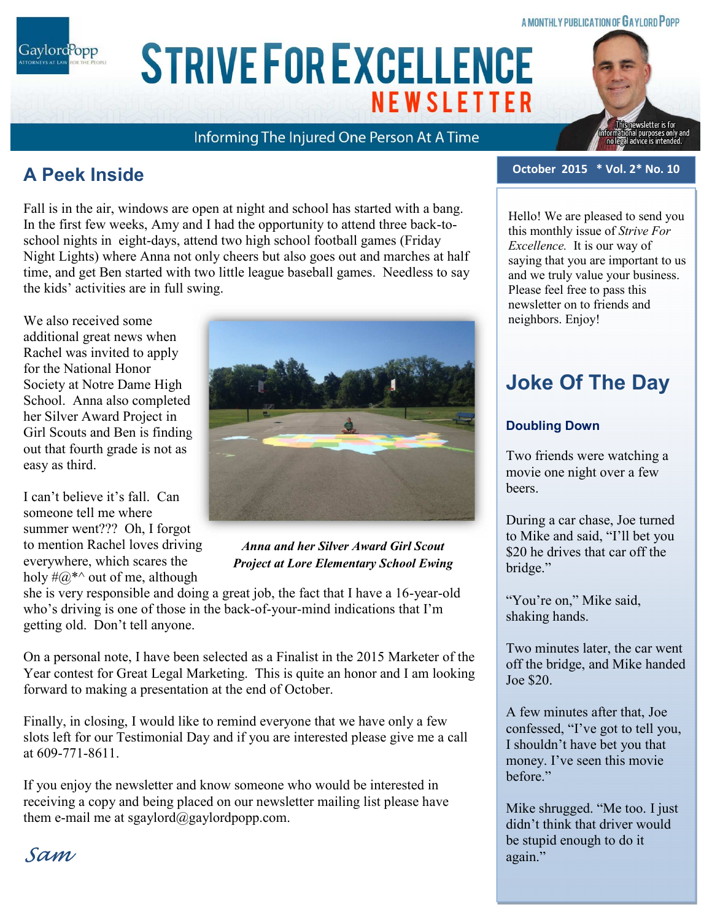### **A MONTHLY PUBLICATION OF GAYLORD POPP**

**ARIAL 15 POINT BOLD CAPS FOR CO. NAME** Gaylord<sup>P</sup>opp

# **STRIVE FOR EXCELLENCE NEWSLETTER**

Informing The Injured One Person At A Time

## **A Peek Inside**

Fall is in the air, windows are open at night and school has started with a bang. In the first few weeks, Amy and I had the opportunity to attend three back-toschool nights in eight-days, attend two high school football games (Friday Night Lights) where Anna not only cheers but also goes out and marches at half time, and get Ben started with two little league baseball games. Needless to say the kids' activities are in full swing.

We also received some additional great news when Rachel was invited to apply for the National Honor Society at Notre Dame High School. Anna also completed her Silver Award Project in Girl Scouts and Ben is finding out that fourth grade is not as easy as third.

I can't believe it's fall. Can someone tell me where summer went??? Oh, I forgot to mention Rachel loves driving everywhere, which scares the holy  $\#@^{*\wedge}$  out of me, although



### *Anna and her Silver Award Girl Scout Project at Lore Elementary School Ewing*

she is very responsible and doing a great job, the fact that I have a 16-year-old who's driving is one of those in the back-of-your-mind indications that I'm getting old. Don't tell anyone.

On a personal note, I have been selected as a Finalist in the 2015 Marketer of the Year contest for Great Legal Marketing. This is quite an honor and I am looking forward to making a presentation at the end of October.

Finally, in closing, I would like to remind everyone that we have only a few slots left for our Testimonial Day and if you are interested please give me a call at 609-771-8611.

If you enjoy the newsletter and know someone who would be interested in receiving a copy and being placed on our newsletter mailing list please have them e-mail me at sgaylord@gaylordpopp.com.

### **October 2015 \* Vol. 2\* No. 10**

ewsletter is for onal purposes only and<br>I advice is intended.

Hello! We are pleased to send you this monthly issue of *Strive For Excellence.* It is our way of saying that you are important to us and we truly value your business. Please feel free to pass this newsletter on to friends and neighbors. Enjoy!

# **Joke Of The Day**

### **Doubling Down**

Two friends were watching a movie one night over a few beers.

During a car chase, Joe turned to Mike and said, "I'll bet you \$20 he drives that car off the bridge."

"You're on," Mike said, shaking hands.

Two minutes later, the car went off the bridge, and Mike handed Joe \$20.

A few minutes after that, Joe confessed, "I've got to tell you, I shouldn't have bet you that money. I've seen this movie before."

Mike shrugged. "Me too. I just didn't think that driver would be stupid enough to do it again."

Sam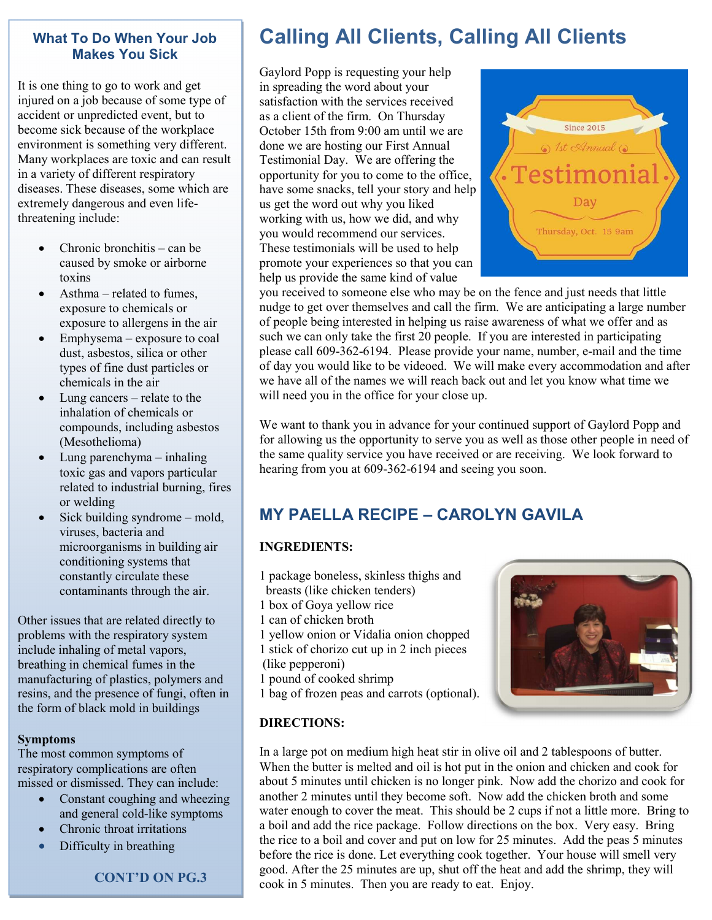#### **What To Do When Your Job Makes You Sick**

It is one thing to go to work and get injured on a job because of some type of accident or unpredicted event, but to become sick because of the workplace environment is something very different. Many workplaces are toxic and can result in a variety of different respiratory diseases. These diseases, some which are extremely dangerous and even lifethreatening include:

- Chronic bronchitis can be caused by smoke or airborne toxins
- Asthma related to fumes. exposure to chemicals or exposure to allergens in the air
- Emphysema exposure to coal dust, asbestos, silica or other types of fine dust particles or chemicals in the air
- Lung cancers relate to the inhalation of chemicals or compounds, including asbestos (Mesothelioma)
- Lung parenchyma inhaling toxic gas and vapors particular related to industrial burning, fires or welding
- Sick building syndrome mold, viruses, bacteria and microorganisms in building air conditioning systems that constantly circulate these contaminants through the air.

Other issues that are related directly to problems with the respiratory system include inhaling of metal vapors, breathing in chemical fumes in the manufacturing of plastics, polymers and resins, and the presence of fungi, often in the form of black mold in buildings

#### **Symptoms**

The most common symptoms of respiratory complications are often missed or dismissed. They can include:

- Constant coughing and wheezing and general cold-like symptoms
- Chronic throat irritations
- Difficulty in breathing

 **CONT'D ON PG.3** 

# **Calling All Clients, Calling All Clients**

Gaylord Popp is requesting your help in spreading the word about your satisfaction with the services received as a client of the firm. On Thursday October 15th from 9:00 am until we are done we are hosting our First Annual Testimonial Day. We are offering the opportunity for you to come to the office, have some snacks, tell your story and help us get the word out why you liked working with us, how we did, and why you would recommend our services. These testimonials will be used to help promote your experiences so that you can help us provide the same kind of value



you received to someone else who may be on the fence and just needs that little nudge to get over themselves and call the firm. We are anticipating a large number of people being interested in helping us raise awareness of what we offer and as such we can only take the first 20 people. If you are interested in participating please call 609-362-6194. Please provide your name, number, e-mail and the time of day you would like to be videoed. We will make every accommodation and after we have all of the names we will reach back out and let you know what time we will need you in the office for your close up.

We want to thank you in advance for your continued support of Gaylord Popp and for allowing us the opportunity to serve you as well as those other people in need of the same quality service you have received or are receiving. We look forward to hearing from you at 609-362-6194 and seeing you soon.

### **MY PAELLA RECIPE – CAROLYN GAVILA**

### **INGREDIENTS:**

- 1 package boneless, skinless thighs and
- breasts (like chicken tenders)
- 1 box of Goya yellow rice
- 1 can of chicken broth
- 1 yellow onion or Vidalia onion chopped
- 1 stick of chorizo cut up in 2 inch pieces
- (like pepperoni)
- 1 pound of cooked shrimp
- 1 bag of frozen peas and carrots (optional).

# **DIRECTIONS:**



In a large pot on medium high heat stir in olive oil and 2 tablespoons of butter. When the butter is melted and oil is hot put in the onion and chicken and cook for about 5 minutes until chicken is no longer pink. Now add the chorizo and cook for another 2 minutes until they become soft. Now add the chicken broth and some water enough to cover the meat. This should be 2 cups if not a little more. Bring to a boil and add the rice package. Follow directions on the box. Very easy. Bring the rice to a boil and cover and put on low for 25 minutes. Add the peas 5 minutes before the rice is done. Let everything cook together. Your house will smell very good. After the 25 minutes are up, shut off the heat and add the shrimp, they will cook in 5 minutes. Then you are ready to eat. Enjoy.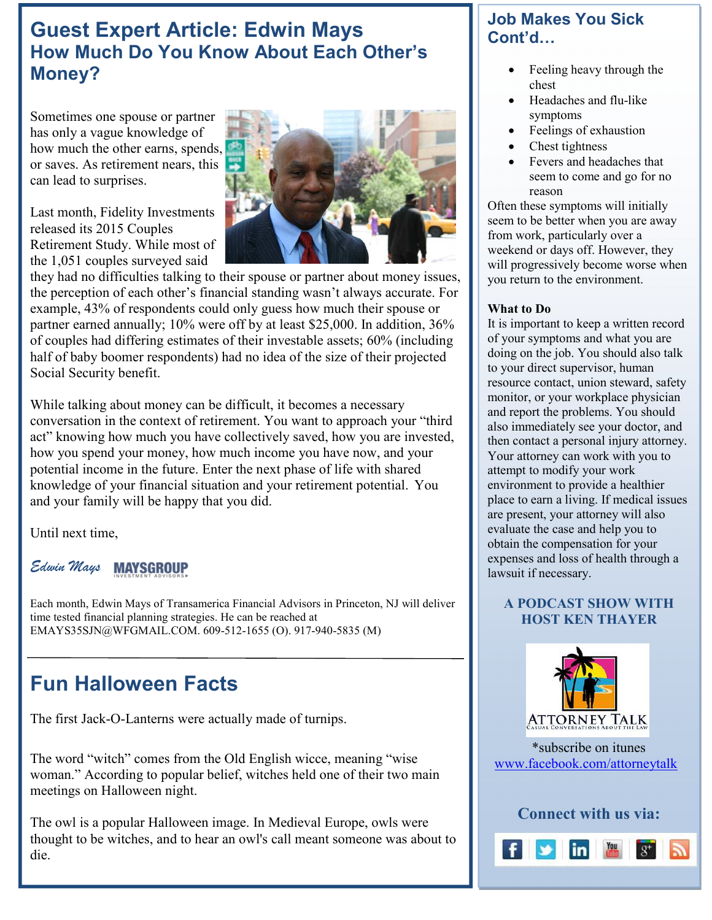## **Guest Expert Article: Edwin Mays How Much Do You Know About Each Other's Money?**

Sometimes one spouse or partner has only a vague knowledge of how much the other earns, spends, or saves. As retirement nears, this can lead to surprises.

Last month, Fidelity Investments released its 2015 Couples Retirement Study. While most of the 1,051 couples surveyed said



they had no difficulties talking to their spouse or partner about money issues, the perception of each other's financial standing wasn't always accurate. For example, 43% of respondents could only guess how much their spouse or partner earned annually; 10% were off by at least \$25,000. In addition, 36% of couples had differing estimates of their investable assets; 60% (including half of baby boomer respondents) had no idea of the size of their projected Social Security benefit.

While talking about money can be difficult, it becomes a necessary conversation in the context of retirement. You want to approach your "third act" knowing how much you have collectively saved, how you are invested, how you spend your money, how much income you have now, and your potential income in the future. Enter the next phase of life with shared knowledge of your financial situation and your retirement potential. You and your family will be happy that you did.

Until next time,

#### *Edwin Mays*  **MAYSGROUP**

Each month, Edwin Mays of Transamerica Financial Advisors in Princeton, NJ will deliver time tested financial planning strategies. He can be reached at EMAYS35SJN@WFGMAIL.COM. 609-512-1655 (O). 917-940-5835 (M)

# **Fun Halloween Facts**

The first Jack-O-Lanterns were actually made of turnips.

The word "witch" comes from the Old English wicce, meaning "wise woman." According to popular belief, witches held one of their two main meetings on Halloween night.

The owl is a popular Halloween image. In Medieval Europe, owls were thought to be witches, and to hear an owl's call meant someone was about to die.

### **Job Makes You Sick Cont'd…**

- Feeling heavy through the chest
- Headaches and flu-like symptoms
- Feelings of exhaustion
- Chest tightness
- Fevers and headaches that seem to come and go for no reason

Often these symptoms will initially seem to be better when you are away from work, particularly over a weekend or days off. However, they will progressively become worse when you return to the environment.

### **What to Do**

It is important to keep a written record of your symptoms and what you are doing on the job. You should also talk to your direct supervisor, human resource contact, union steward, safety monitor, or your workplace physician and report the problems. You should also immediately see your doctor, and then contact a personal injury attorney. Your attorney can work with you to attempt to modify your work environment to provide a healthier place to earn a living. If medical issues are present, your attorney will also evaluate the case and help you to obtain the compensation for your expenses and loss of health through a lawsuit if necessary.

### **A PODCAST SHOW WITH HOST KEN THAYER**



\*subscribe on itunes www.facebook.com/attorneytalk

**Connect with us via:**